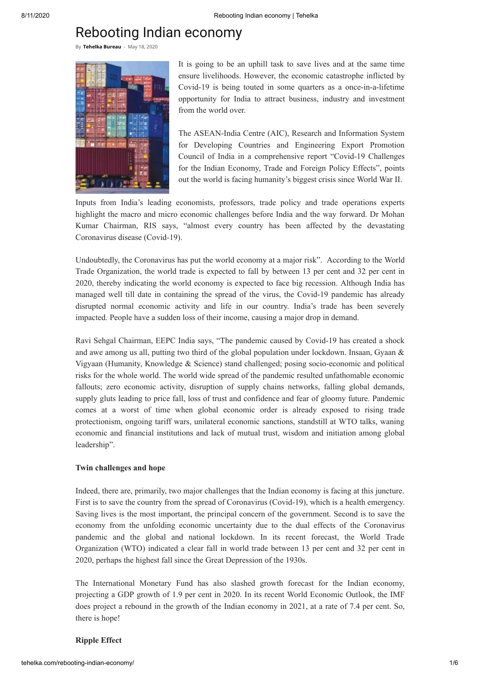# Rebooting Indian economy

By **[Tehelka](http://tehelka.com/profiles/tehelka-bureau/) Bureau** - May 18, 2020



It is going to be an uphill task to save lives and at the same time ensure livelihoods. However, the economic catastrophe inflicted by Covid-19 is being touted in some quarters as a once-in-a-lifetime opportunity for India to attract business, industry and investment from the world over.

The ASEAN-India Centre (AIC), Research and Information System for Developing Countries and Engineering Export Promotion Council of India in a comprehensive report "Covid-19 Challenges for the Indian Economy, Trade and Foreign Policy Effects", points out the world is facing humanity's biggest crisis since World War II.

Inputs from India's leading economists, professors, trade policy and trade operations experts highlight the macro and micro economic challenges before India and the way forward. Dr Mohan Kumar Chairman, RIS says, "almost every country has been affected by the devastating Coronavirus disease (Covid-19).

Undoubtedly, the Coronavirus has put the world economy at a major risk". According to the World Trade Organization, the world trade is expected to fall by between 13 per cent and 32 per cent in 2020, thereby indicating the world economy is expected to face big recession. Although India has managed well till date in containing the spread of the virus, the Covid-19 pandemic has already disrupted normal economic activity and life in our country. India's trade has been severely impacted. People have a sudden loss of their income, causing a major drop in demand.

Ravi Sehgal Chairman, EEPC India says, "The pandemic caused by Covid-19 has created a shock and awe among us all, putting two third of the global population under lockdown. Insaan, Gyaan & Vigyaan (Humanity, Knowledge & Science) stand challenged; posing socio-economic and political risks for the whole world. The world wide spread of the pandemic resulted unfathomable economic fallouts; zero economic activity, disruption of supply chains networks, falling global demands, supply gluts leading to price fall, loss of trust and confidence and fear of gloomy future. Pandemic comes at a worst of time when global economic order is already exposed to rising trade protectionism, ongoing tariff wars, unilateral economic sanctions, standstill at WTO talks, waning economic and financial institutions and lack of mutual trust, wisdom and initiation among global leadership".

# **Twin challenges and hope**

Indeed, there are, primarily, two major challenges that the Indian economy is facing at this juncture. First is to save the country from the spread of Coronavirus (Covid-19), which is a health emergency. Saving lives is the most important, the principal concern of the government. Second is to save the economy from the unfolding economic uncertainty due to the dual effects of the Coronavirus pandemic and the global and national lockdown. In its recent forecast, the World Trade Organization (WTO) indicated a clear fall in world trade between 13 per cent and 32 per cent in 2020, perhaps the highest fall since the Great Depression of the 1930s.

The International Monetary Fund has also slashed growth forecast for the Indian economy, projecting a GDP growth of 1.9 per cent in 2020. In its recent World Economic Outlook, the IMF does project a rebound in the growth of the Indian economy in 2021, at a rate of 7.4 per cent. So, there is hope!

## **Ripple Effect**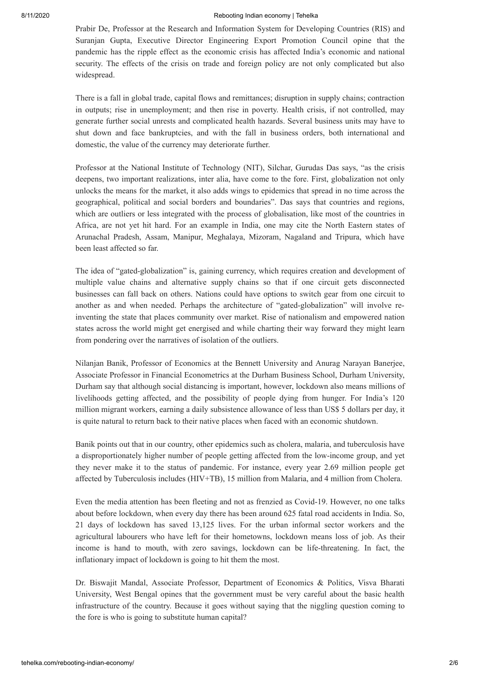### 8/11/2020 Rebooting Indian economy | Tehelka

Prabir De, Professor at the Research and Information System for Developing Countries (RIS) and Suranjan Gupta, Executive Director Engineering Export Promotion Council opine that the pandemic has the ripple effect as the economic crisis has affected India's economic and national security. The effects of the crisis on trade and foreign policy are not only complicated but also widespread.

There is a fall in global trade, capital flows and remittances; disruption in supply chains; contraction in outputs; rise in unemployment; and then rise in poverty. Health crisis, if not controlled, may generate further social unrests and complicated health hazards. Several business units may have to shut down and face bankruptcies, and with the fall in business orders, both international and domestic, the value of the currency may deteriorate further.

Professor at the National Institute of Technology (NIT), Silchar, Gurudas Das says, "as the crisis deepens, two important realizations, inter alia, have come to the fore. First, globalization not only unlocks the means for the market, it also adds wings to epidemics that spread in no time across the geographical, political and social borders and boundaries". Das says that countries and regions, which are outliers or less integrated with the process of globalisation, like most of the countries in Africa, are not yet hit hard. For an example in India, one may cite the North Eastern states of Arunachal Pradesh, Assam, Manipur, Meghalaya, Mizoram, Nagaland and Tripura, which have been least affected so far.

The idea of "gated-globalization" is, gaining currency, which requires creation and development of multiple value chains and alternative supply chains so that if one circuit gets disconnected businesses can fall back on others. Nations could have options to switch gear from one circuit to another as and when needed. Perhaps the architecture of "gated-globalization" will involve reinventing the state that places community over market. Rise of nationalism and empowered nation states across the world might get energised and while charting their way forward they might learn from pondering over the narratives of isolation of the outliers.

Nilanjan Banik, Professor of Economics at the Bennett University and Anurag Narayan Banerjee, Associate Professor in Financial Econometrics at the Durham Business School, Durham University, Durham say that although social distancing is important, however, lockdown also means millions of livelihoods getting affected, and the possibility of people dying from hunger. For India's 120 million migrant workers, earning a daily subsistence allowance of less than US\$ 5 dollars per day, it is quite natural to return back to their native places when faced with an economic shutdown.

Banik points out that in our country, other epidemics such as cholera, malaria, and tuberculosis have a disproportionately higher number of people getting affected from the low-income group, and yet they never make it to the status of pandemic. For instance, every year 2.69 million people get affected by Tuberculosis includes (HIV+TB), 15 million from Malaria, and 4 million from Cholera.

Even the media attention has been fleeting and not as frenzied as Covid-19. However, no one talks about before lockdown, when every day there has been around 625 fatal road accidents in India. So, 21 days of lockdown has saved 13,125 lives. For the urban informal sector workers and the agricultural labourers who have left for their hometowns, lockdown means loss of job. As their income is hand to mouth, with zero savings, lockdown can be life-threatening. In fact, the inflationary impact of lockdown is going to hit them the most.

Dr. Biswajit Mandal, Associate Professor, Department of Economics & Politics, Visva Bharati University, West Bengal opines that the government must be very careful about the basic health infrastructure of the country. Because it goes without saying that the niggling question coming to the fore is who is going to substitute human capital?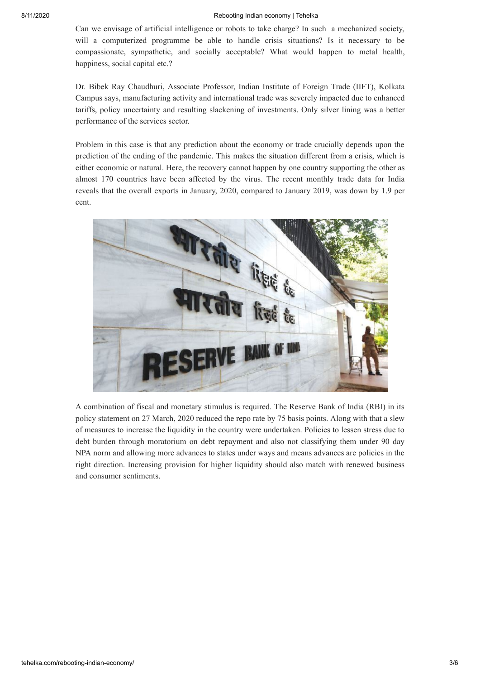Can we envisage of artificial intelligence or robots to take charge? In such a mechanized society, will a computerized programme be able to handle crisis situations? Is it necessary to be compassionate, sympathetic, and socially acceptable? What would happen to metal health, happiness, social capital etc.?

Dr. Bibek Ray Chaudhuri, Associate Professor, Indian Institute of Foreign Trade (IIFT), Kolkata Campus says, manufacturing activity and international trade was severely impacted due to enhanced tariffs, policy uncertainty and resulting slackening of investments. Only silver lining was a better performance of the services sector.

Problem in this case is that any prediction about the economy or trade crucially depends upon the prediction of the ending of the pandemic. This makes the situation different from a crisis, which is either economic or natural. Here, the recovery cannot happen by one country supporting the other as almost 170 countries have been affected by the virus. The recent monthly trade data for India reveals that the overall exports in January, 2020, compared to January 2019, was down by 1.9 per cent.



A combination of fiscal and monetary stimulus is required. The Reserve Bank of India (RBI) in its policy statement on 27 March, 2020 reduced the repo rate by 75 basis points. Along with that a slew of measures to increase the liquidity in the country were undertaken. Policies to lessen stress due to debt burden through moratorium on debt repayment and also not classifying them under 90 day NPA norm and allowing more advances to states under ways and means advances are policies in the right direction. Increasing provision for higher liquidity should also match with renewed business and consumer sentiments.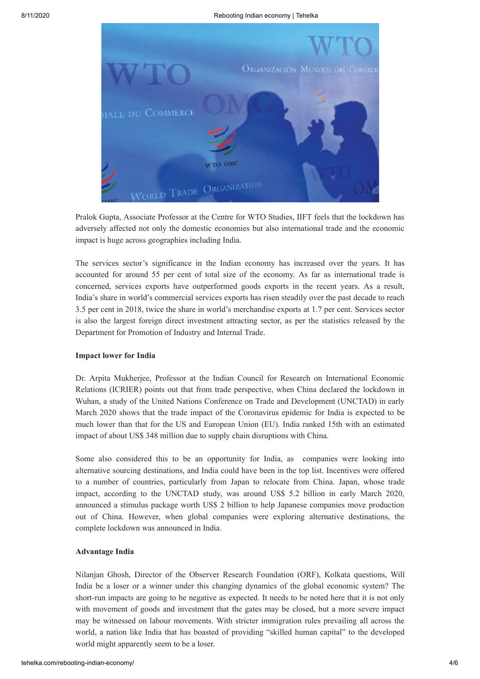

Pralok Gupta, Associate Professor at the Centre for WTO Studies, IIFT feels that the lockdown has adversely affected not only the domestic economies but also international trade and the economic impact is huge across geographies including India.

The services sector's significance in the Indian economy has increased over the years. It has accounted for around 55 per cent of total size of the economy. As far as international trade is concerned, services exports have outperformed goods exports in the recent years. As a result, India's share in world's commercial services exports has risen steadily over the past decade to reach 3.5 per cent in 2018, twice the share in world's merchandise exports at 1.7 per cent. Services sector is also the largest foreign direct investment attracting sector, as per the statistics released by the Department for Promotion of Industry and Internal Trade.

## **Impact lower for India**

Dr. Arpita Mukherjee, Professor at the Indian Council for Research on International Economic Relations (ICRIER) points out that from trade perspective, when China declared the lockdown in Wuhan, a study of the United Nations Conference on Trade and Development (UNCTAD) in early March 2020 shows that the trade impact of the Coronavirus epidemic for India is expected to be much lower than that for the US and European Union (EU). India ranked 15th with an estimated impact of about US\$ 348 million due to supply chain disruptions with China.

Some also considered this to be an opportunity for India, as companies were looking into alternative sourcing destinations, and India could have been in the top list. Incentives were offered to a number of countries, particularly from Japan to relocate from China. Japan, whose trade impact, according to the UNCTAD study, was around US\$ 5.2 billion in early March 2020, announced a stimulus package worth US\$ 2 billion to help Japanese companies move production out of China. However, when global companies were exploring alternative destinations, the complete lockdown was announced in India.

## **Advantage India**

Nilanjan Ghosh, Director of the Observer Research Foundation (ORF), Kolkata questions, Will India be a loser or a winner under this changing dynamics of the global economic system? The short-run impacts are going to be negative as expected. It needs to be noted here that it is not only with movement of goods and investment that the gates may be closed, but a more severe impact may be witnessed on labour movements. With stricter immigration rules prevailing all across the world, a nation like India that has boasted of providing "skilled human capital" to the developed world might apparently seem to be a loser.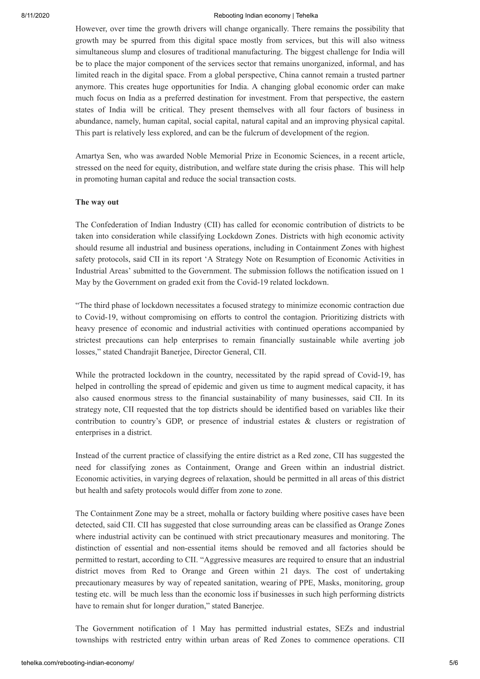### 8/11/2020 Rebooting Indian economy | Tehelka

However, over time the growth drivers will change organically. There remains the possibility that growth may be spurred from this digital space mostly from services, but this will also witness simultaneous slump and closures of traditional manufacturing. The biggest challenge for India will be to place the major component of the services sector that remains unorganized, informal, and has limited reach in the digital space. From a global perspective, China cannot remain a trusted partner anymore. This creates huge opportunities for India. A changing global economic order can make much focus on India as a preferred destination for investment. From that perspective, the eastern states of India will be critical. They present themselves with all four factors of business in abundance, namely, human capital, social capital, natural capital and an improving physical capital. This part is relatively less explored, and can be the fulcrum of development of the region.

Amartya Sen, who was awarded Noble Memorial Prize in Economic Sciences, in a recent article, stressed on the need for equity, distribution, and welfare state during the crisis phase. This will help in promoting human capital and reduce the social transaction costs.

# **The way out**

The Confederation of Indian Industry (CII) has called for economic contribution of districts to be taken into consideration while classifying Lockdown Zones. Districts with high economic activity should resume all industrial and business operations, including in Containment Zones with highest safety protocols, said CII in its report 'A Strategy Note on Resumption of Economic Activities in Industrial Areas' submitted to the Government. The submission follows the notification issued on 1 May by the Government on graded exit from the Covid-19 related lockdown.

"The third phase of lockdown necessitates a focused strategy to minimize economic contraction due to Covid-19, without compromising on efforts to control the contagion. Prioritizing districts with heavy presence of economic and industrial activities with continued operations accompanied by strictest precautions can help enterprises to remain financially sustainable while averting job losses," stated Chandrajit Banerjee, Director General, CII.

While the protracted lockdown in the country, necessitated by the rapid spread of Covid-19, has helped in controlling the spread of epidemic and given us time to augment medical capacity, it has also caused enormous stress to the financial sustainability of many businesses, said CII. In its strategy note, CII requested that the top districts should be identified based on variables like their contribution to country's GDP, or presence of industrial estates & clusters or registration of enterprises in a district.

Instead of the current practice of classifying the entire district as a Red zone, CII has suggested the need for classifying zones as Containment, Orange and Green within an industrial district. Economic activities, in varying degrees of relaxation, should be permitted in all areas of this district but health and safety protocols would differ from zone to zone.

The Containment Zone may be a street, mohalla or factory building where positive cases have been detected, said CII. CII has suggested that close surrounding areas can be classified as Orange Zones where industrial activity can be continued with strict precautionary measures and monitoring. The distinction of essential and non-essential items should be removed and all factories should be permitted to restart, according to CII. "Aggressive measures are required to ensure that an industrial district moves from Red to Orange and Green within 21 days. The cost of undertaking precautionary measures by way of repeated sanitation, wearing of PPE, Masks, monitoring, group testing etc. will be much less than the economic loss if businesses in such high performing districts have to remain shut for longer duration," stated Banerjee.

The Government notification of 1 May has permitted industrial estates, SEZs and industrial townships with restricted entry within urban areas of Red Zones to commence operations. CII